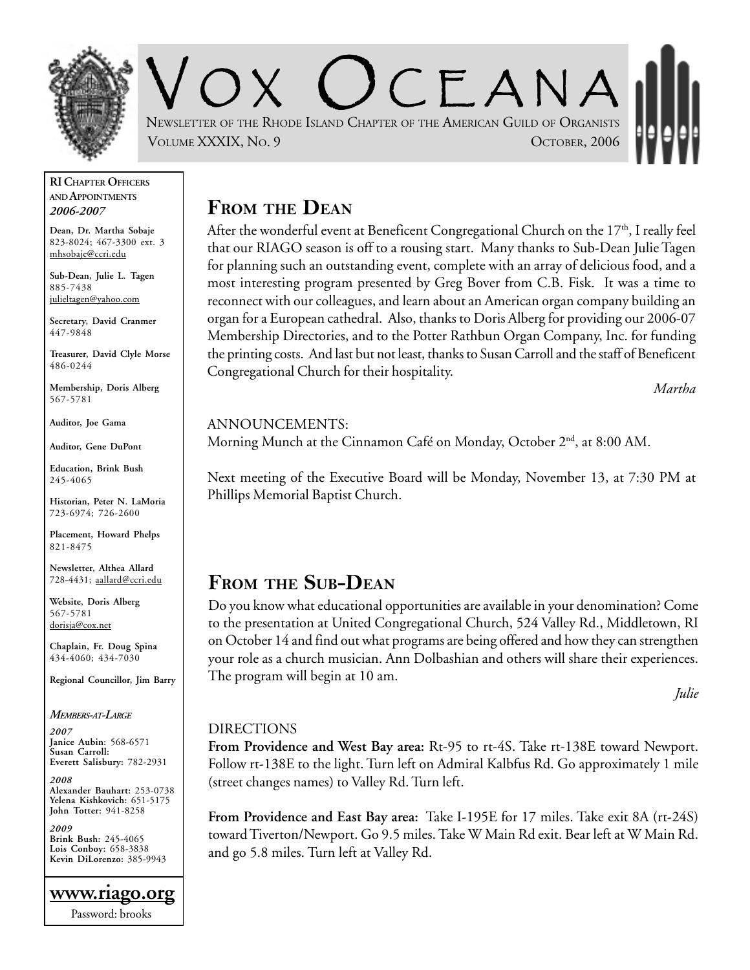

CEANA NEWSLETTER OF THE RHODE ISLAND CHAPTER OF THE AMERICAN GUILD OF ORGANISTS VOLUME XXXIX, NO. 9 OCTOBER, 2006

#### **RI CHAPTER OFFICERS AND APPOINTMENTS** *2006-2007*

**Dean, Dr. Martha Sobaje** 823-8024; 467-3300 ext. 3 mhsobaje@ccri.edu

**Sub-Dean, Julie L. Tagen** 885-7438 julieltagen@yahoo.com

**Secretary, David Cranmer** 447-9848

**Treasurer, David Clyle Morse** 486-0244

**Membership, Doris Alberg** 567-5781

**Auditor, Joe Gama**

**Auditor, Gene DuPont**

**Education, Brink Bush** 245-4065

**Historian, Peter N. LaMoria** 723-6974; 726-2600

**Placement, Howard Phelps** 821-8475

**Newsletter, Althea Allard** 728-4431; aallard@ccri.edu

**Website**, **Doris Alberg** 567-5781 dorisja@cox.net

**Chaplain, Fr. Doug Spina** 434-4060; 434-7030

**Regional Councillor, Jim Barry**

#### *MEMBERS-AT-LARGE*

*2007* **Janice Aubin**: 568-6571 **Susan Carroll: Everett Salisbury:** 782-2931

*2008* **Alexander Bauhart:** 253-0738 **Yelena Kishkovich:** 651-5175 **John Totter:** 941-8258

*2009* **Brink Bush:** 245-4065 **Lois Conboy:** 658-3838 **Kevin DiLorenzo:** 385-9943

**www.riago.org** Password: brooks

**FROM THE DEAN**

After the wonderful event at Beneficent Congregational Church on the  $17<sup>th</sup>$ , I really feel that our RIAGO season is off to a rousing start. Many thanks to Sub-Dean Julie Tagen for planning such an outstanding event, complete with an array of delicious food, and a most interesting program presented by Greg Bover from C.B. Fisk. It was a time to reconnect with our colleagues, and learn about an American organ company building an organ for a European cathedral. Also, thanks to Doris Alberg for providing our 2006-07 Membership Directories, and to the Potter Rathbun Organ Company, Inc. for funding the printing costs. And last but not least, thanks to Susan Carroll and the staff of Beneficent Congregational Church for their hospitality.

*Martha*

#### ANNOUNCEMENTS:

Morning Munch at the Cinnamon Café on Monday, October 2<sup>nd</sup>, at 8:00 AM.

Next meeting of the Executive Board will be Monday, November 13, at 7:30 PM at Phillips Memorial Baptist Church.

## **FROM THE SUB-DEAN**

Do you know what educational opportunities are available in your denomination? Come to the presentation at United Congregational Church, 524 Valley Rd., Middletown, RI on October 14 and find out what programs are being offered and how they can strengthen your role as a church musician. Ann Dolbashian and others will share their experiences. The program will begin at 10 am.

*Julie*

### DIRECTIONS

**From Providence and West Bay area:** Rt-95 to rt-4S. Take rt-138E toward Newport. Follow rt-138E to the light. Turn left on Admiral Kalbfus Rd. Go approximately 1 mile (street changes names) to Valley Rd. Turn left.

**From Providence and East Bay area:** Take I-195E for 17 miles. Take exit 8A (rt-24S) toward Tiverton/Newport. Go 9.5 miles. Take W Main Rd exit. Bear left at W Main Rd. and go 5.8 miles. Turn left at Valley Rd.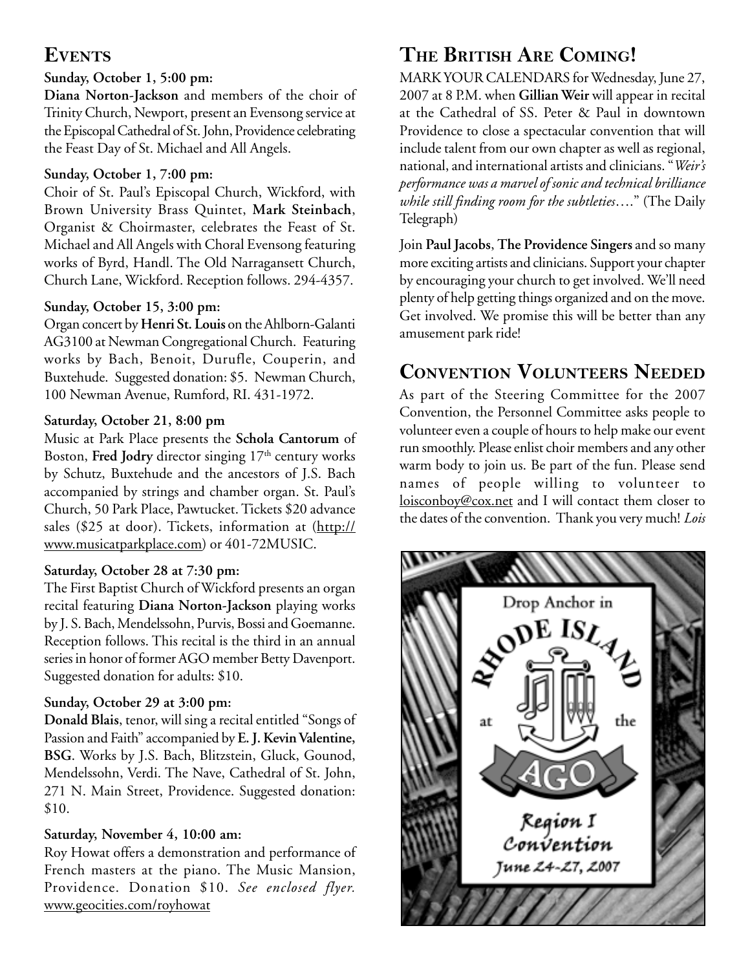### **EVENTS**

### **Sunday, October 1, 5:00 pm:**

**Diana Norton-Jackson** and members of the choir of Trinity Church, Newport, present an Evensong service at the Episcopal Cathedral of St. John, Providence celebrating the Feast Day of St. Michael and All Angels.

#### **Sunday, October 1, 7:00 pm:**

Choir of St. Paul's Episcopal Church, Wickford, with Brown University Brass Quintet, **Mark Steinbach**, Organist & Choirmaster, celebrates the Feast of St. Michael and All Angels with Choral Evensong featuring works of Byrd, Handl. The Old Narragansett Church, Church Lane, Wickford. Reception follows. 294-4357.

#### **Sunday, October 15, 3:00 pm:**

Organ concert by **Henri St. Louis** on the Ahlborn-Galanti AG3100 at Newman Congregational Church. Featuring works by Bach, Benoit, Durufle, Couperin, and Buxtehude. Suggested donation: \$5. Newman Church, 100 Newman Avenue, Rumford, RI. 431-1972.

#### **Saturday, October 21, 8:00 pm**

Music at Park Place presents the **Schola Cantorum** of Boston, Fred Jodry director singing 17<sup>th</sup> century works by Schutz, Buxtehude and the ancestors of J.S. Bach accompanied by strings and chamber organ. St. Paul's Church, 50 Park Place, Pawtucket. Tickets \$20 advance sales (\$25 at door). Tickets, information at (http:// www.musicatparkplace.com) or 401-72MUSIC.

### **Saturday, October 28 at 7:30 pm:**

The First Baptist Church of Wickford presents an organ recital featuring **Diana Norton-Jackson** playing works by J. S. Bach, Mendelssohn, Purvis, Bossi and Goemanne. Reception follows. This recital is the third in an annual series in honor of former AGO member Betty Davenport. Suggested donation for adults: \$10.

### **Sunday, October 29 at 3:00 pm:**

**Donald Blais**, tenor, will sing a recital entitled "Songs of Passion and Faith" accompanied by **E. J. Kevin Valentine, BSG**. Works by J.S. Bach, Blitzstein, Gluck, Gounod, Mendelssohn, Verdi. The Nave, Cathedral of St. John, 271 N. Main Street, Providence. Suggested donation: \$10.

### **Saturday, November 4, 10:00 am:**

Roy Howat offers a demonstration and performance of French masters at the piano. The Music Mansion, Providence. Donation \$10. *See enclosed flyer.* www.geocities.com/royhowat

# **THE BRITISH ARE COMING!**

MARK YOUR CALENDARS for Wednesday, June 27, 2007 at 8 P.M. when **Gillian Weir** will appear in recital at the Cathedral of SS. Peter & Paul in downtown Providence to close a spectacular convention that will include talent from our own chapter as well as regional, national, and international artists and clinicians. "*Weir's performance was a marvel of sonic and technical brilliance while still finding room for the subtleties*…." (The Daily Telegraph)

Join **Paul Jacobs**, **The Providence Singers** and so many more exciting artists and clinicians. Support your chapter by encouraging your church to get involved. We'll need plenty of help getting things organized and on the move. Get involved. We promise this will be better than any amusement park ride!

## **CONVENTION VOLUNTEERS NEEDED**

As part of the Steering Committee for the 2007 Convention, the Personnel Committee asks people to volunteer even a couple of hours to help make our event run smoothly. Please enlist choir members and any other warm body to join us. Be part of the fun. Please send names of people willing to volunteer to loisconboy@cox.net and I will contact them closer to the dates of the convention. Thank you very much! *Lois*